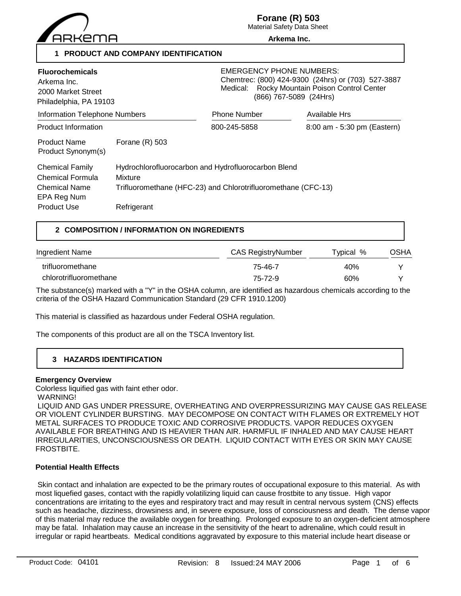

**Forane (R) 503**

Material Safety Data Sheet **Arkema Inc.**

**1 PRODUCT AND COMPANY IDENTIFICATION**

| <b>Fluorochemicals</b><br>Arkema Inc.<br>2000 Market Street<br>Philadelphia, PA 19103    |                                                                                                                                 | <b>EMERGENCY PHONE NUMBERS:</b><br>Chemtrec: (800) 424-9300 (24hrs) or (703) 527-3887<br>Medical: Rocky Mountain Poison Control Center<br>(866) 767-5089 (24Hrs) |                             |  |
|------------------------------------------------------------------------------------------|---------------------------------------------------------------------------------------------------------------------------------|------------------------------------------------------------------------------------------------------------------------------------------------------------------|-----------------------------|--|
| <b>Information Telephone Numbers</b>                                                     |                                                                                                                                 | <b>Phone Number</b>                                                                                                                                              | Available Hrs               |  |
| <b>Product Information</b>                                                               |                                                                                                                                 | 800-245-5858                                                                                                                                                     | 8:00 am - 5:30 pm (Eastern) |  |
| <b>Product Name</b><br>Product Synonym(s)                                                | Forane $(R)$ 503                                                                                                                |                                                                                                                                                                  |                             |  |
| <b>Chemical Family</b><br><b>Chemical Formula</b><br><b>Chemical Name</b><br>EPA Reg Num | Hydrochlorofluorocarbon and Hydrofluorocarbon Blend<br>Mixture<br>Trifluoromethane (HFC-23) and Chlorotrifluoromethane (CFC-13) |                                                                                                                                                                  |                             |  |
| <b>Product Use</b>                                                                       | Refrigerant                                                                                                                     |                                                                                                                                                                  |                             |  |

# **2 COMPOSITION / INFORMATION ON INGREDIENTS**

| Ingredient Name        | <b>CAS RegistryNumber</b> | Typical % | OSHA |
|------------------------|---------------------------|-----------|------|
| trifluoromethane       | 75-46-7                   | 40%       |      |
| chlorotrifluoromethane | $75 - 72 - 9$             | 60%       |      |

The substance(s) marked with a "Y" in the OSHA column, are identified as hazardous chemicals according to the criteria of the OSHA Hazard Communication Standard (29 CFR 1910.1200)

This material is classified as hazardous under Federal OSHA regulation.

The components of this product are all on the TSCA Inventory list.

# **3 HAZARDS IDENTIFICATION**

# **Emergency Overview**

Colorless liquified gas with faint ether odor.

WARNING!

 LIQUID AND GAS UNDER PRESSURE, OVERHEATING AND OVERPRESSURIZING MAY CAUSE GAS RELEASE OR VIOLENT CYLINDER BURSTING. MAY DECOMPOSE ON CONTACT WITH FLAMES OR EXTREMELY HOT METAL SURFACES TO PRODUCE TOXIC AND CORROSIVE PRODUCTS. VAPOR REDUCES OXYGEN AVAILABLE FOR BREATHING AND IS HEAVIER THAN AIR. HARMFUL IF INHALED AND MAY CAUSE HEART IRREGULARITIES, UNCONSCIOUSNESS OR DEATH. LIQUID CONTACT WITH EYES OR SKIN MAY CAUSE FROSTBITE.

# **Potential Health Effects**

 Skin contact and inhalation are expected to be the primary routes of occupational exposure to this material. As with most liquefied gases, contact with the rapidly volatilizing liquid can cause frostbite to any tissue. High vapor concentrations are irritating to the eyes and respiratory tract and may result in central nervous system (CNS) effects such as headache, dizziness, drowsiness and, in severe exposure, loss of consciousness and death. The dense vapor of this material may reduce the available oxygen for breathing. Prolonged exposure to an oxygen-deficient atmosphere may be fatal. Inhalation may cause an increase in the sensitivity of the heart to adrenaline, which could result in irregular or rapid heartbeats. Medical conditions aggravated by exposure to this material include heart disease or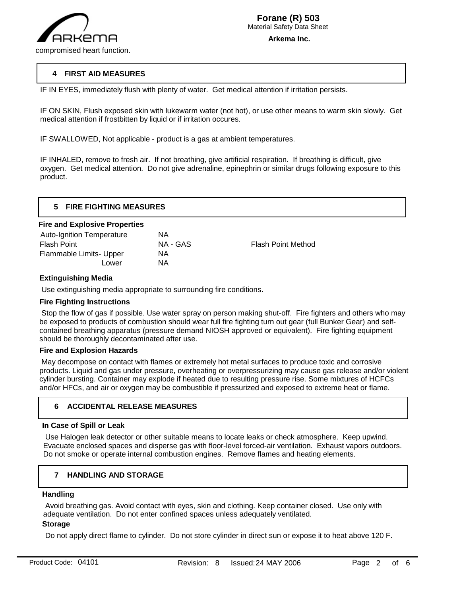

# **4 FIRST AID MEASURES**

IF IN EYES, immediately flush with plenty of water. Get medical attention if irritation persists.

IF ON SKIN, Flush exposed skin with lukewarm water (not hot), or use other means to warm skin slowly. Get medical attention if frostbitten by liquid or if irritation occures.

IF SWALLOWED, Not applicable - product is a gas at ambient temperatures.

IF INHALED, remove to fresh air. If not breathing, give artificial respiration. If breathing is difficult, give oxygen. Get medical attention. Do not give adrenaline, epinephrin or similar drugs following exposure to this product.

| <b>FIRE FIGHTING MEASURES</b> |
|-------------------------------|
|                               |

#### **Fire and Explosive Properties**

| <b>Auto-Ignition Temperature</b> | ΝA       |                           |
|----------------------------------|----------|---------------------------|
| Flash Point                      | NA - GAS | <b>Flash Point Method</b> |
| Flammable Limits- Upper          | ΝA       |                           |
| Lower                            | NA.      |                           |
|                                  |          |                           |

# **Extinguishing Media**

Use extinguishing media appropriate to surrounding fire conditions.

# **Fire Fighting Instructions**

 Stop the flow of gas if possible. Use water spray on person making shut-off. Fire fighters and others who may be exposed to products of combustion should wear full fire fighting turn out gear (full Bunker Gear) and selfcontained breathing apparatus (pressure demand NIOSH approved or equivalent). Fire fighting equipment should be thoroughly decontaminated after use.

## **Fire and Explosion Hazards**

 May decompose on contact with flames or extremely hot metal surfaces to produce toxic and corrosive products. Liquid and gas under pressure, overheating or overpressurizing may cause gas release and/or violent cylinder bursting. Container may explode if heated due to resulting pressure rise. Some mixtures of HCFCs and/or HFCs, and air or oxygen may be combustible if pressurized and exposed to extreme heat or flame.

# **6 ACCIDENTAL RELEASE MEASURES**

# **In Case of Spill or Leak**

 Use Halogen leak detector or other suitable means to locate leaks or check atmosphere. Keep upwind. Evacuate enclosed spaces and disperse gas with floor-level forced-air ventilation. Exhaust vapors outdoors. Do not smoke or operate internal combustion engines. Remove flames and heating elements.

#### **7 HANDLING AND STORAGE**

# **Handling**

j

 Avoid breathing gas. Avoid contact with eyes, skin and clothing. Keep container closed. Use only with adequate ventilation. Do not enter confined spaces unless adequately ventilated.

# **Storage**

Do not apply direct flame to cylinder. Do not store cylinder in direct sun or expose it to heat above 120 F.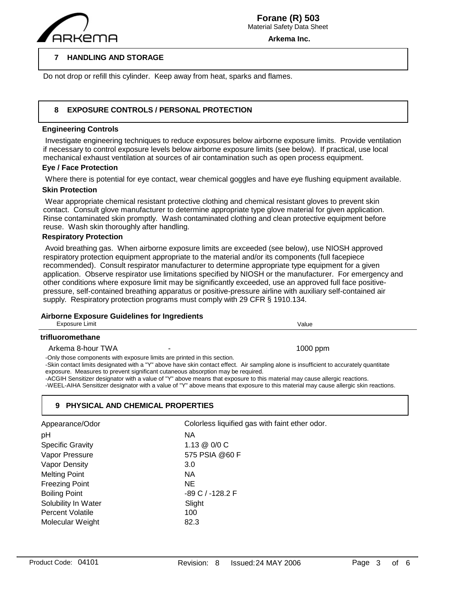

**Arkema Inc.**

#### **7 HANDLING AND STORAGE**

Do not drop or refill this cylinder. Keep away from heat, sparks and flames.

#### **8 EXPOSURE CONTROLS / PERSONAL PROTECTION**

## **Engineering Controls**

 $\overline{a}$ 

 Investigate engineering techniques to reduce exposures below airborne exposure limits. Provide ventilation if necessary to control exposure levels below airborne exposure limits (see below). If practical, use local mechanical exhaust ventilation at sources of air contamination such as open process equipment.

# **Eye / Face Protection**

Where there is potential for eye contact, wear chemical goggles and have eye flushing equipment available.

## **Skin Protection**

 Wear appropriate chemical resistant protective clothing and chemical resistant gloves to prevent skin contact. Consult glove manufacturer to determine appropriate type glove material for given application. Rinse contaminated skin promptly. Wash contaminated clothing and clean protective equipment before reuse. Wash skin thoroughly after handling.

# **Respiratory Protection**

 Avoid breathing gas. When airborne exposure limits are exceeded (see below), use NIOSH approved respiratory protection equipment appropriate to the material and/or its components (full facepiece recommended). Consult respirator manufacturer to determine appropriate type equipment for a given application. Observe respirator use limitations specified by NIOSH or the manufacturer. For emergency and other conditions where exposure limit may be significantly exceeded, use an approved full face positivepressure, self-contained breathing apparatus or positive-pressure airline with auxiliary self-contained air supply. Respiratory protection programs must comply with 29 CFR § 1910.134.

# **Airborne Exposure Guidelines for Ingredients**

| Exposure Limit                                                                                                                                              | Value                                                                                                                                                                                                                                                                                                                                                                                                     |
|-------------------------------------------------------------------------------------------------------------------------------------------------------------|-----------------------------------------------------------------------------------------------------------------------------------------------------------------------------------------------------------------------------------------------------------------------------------------------------------------------------------------------------------------------------------------------------------|
| trifluoromethane                                                                                                                                            |                                                                                                                                                                                                                                                                                                                                                                                                           |
| Arkema 8-hour TWA                                                                                                                                           | $1000$ ppm                                                                                                                                                                                                                                                                                                                                                                                                |
| -Only those components with exposure limits are printed in this section.<br>exposure. Measures to prevent significant cutaneous absorption may be required. | -Skin contact limits designated with a "Y" above have skin contact effect. Air sampling alone is insufficient to accurately quantitate<br>-ACGIH Sensitizer designator with a value of "Y" above means that exposure to this material may cause allergic reactions.<br>-WEEL-AIHA Sensitizer designator with a value of "Y" above means that exposure to this material may cause allergic skin reactions. |

# **9 PHYSICAL AND CHEMICAL PROPERTIES**

| Appearance/Odor         | Colorless liquified gas with faint ether odor. |
|-------------------------|------------------------------------------------|
| pH                      | ΝA                                             |
| <b>Specific Gravity</b> | 1.13 @ 0/0 C                                   |
| Vapor Pressure          | 575 PSIA @60 F                                 |
| Vapor Density           | 3.0                                            |
| <b>Melting Point</b>    | <b>NA</b>                                      |
| <b>Freezing Point</b>   | NE.                                            |
| <b>Boiling Point</b>    | -89 C / -128.2 F                               |
| Solubility In Water     | Slight                                         |
| <b>Percent Volatile</b> | 100                                            |
| Molecular Weight        | 82.3                                           |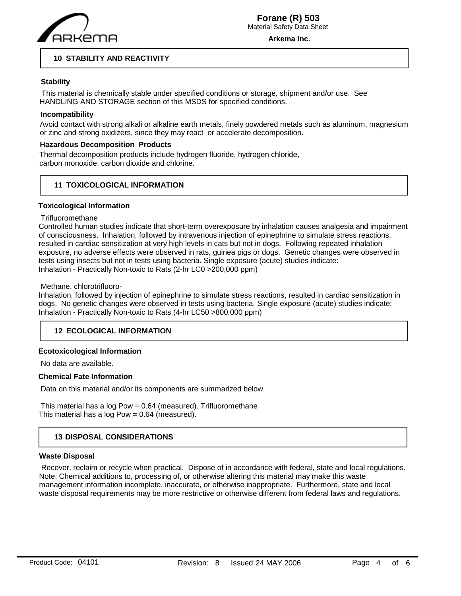

**Arkema Inc.**

# **10 STABILITY AND REACTIVITY**

# **Stability**

 This material is chemically stable under specified conditions or storage, shipment and/or use. See HANDLING AND STORAGE section of this MSDS for specified conditions.

# **Incompatibility**

Avoid contact with strong alkali or alkaline earth metals, finely powdered metals such as aluminum, magnesium or zinc and strong oxidizers, since they may react or accelerate decomposition.

# **Hazardous Decomposition Products**

Thermal decomposition products include hydrogen fluoride, hydrogen chloride, carbon monoxide, carbon dioxide and chlorine.

# **11 TOXICOLOGICAL INFORMATION**

# **Toxicological Information**

## **Trifluoromethane**

Controlled human studies indicate that short-term overexposure by inhalation causes analgesia and impairment of consciousness. Inhalation, followed by intravenous injection of epinephrine to simulate stress reactions, resulted in cardiac sensitization at very high levels in cats but not in dogs. Following repeated inhalation exposure, no adverse effects were observed in rats, guinea pigs or dogs. Genetic changes were observed in tests using insects but not in tests using bacteria. Single exposure (acute) studies indicate: Inhalation - Practically Non-toxic to Rats (2-hr LC0 >200,000 ppm)

## Methane, chlorotrifluoro-

Inhalation, followed by injection of epinephrine to simulate stress reactions, resulted in cardiac sensitization in dogs. No genetic changes were observed in tests using bacteria. Single exposure (acute) studies indicate: Inhalation - Practically Non-toxic to Rats (4-hr LC50 >800,000 ppm)

# **12 ECOLOGICAL INFORMATION**

# **Ecotoxicological Information**

No data are available.

# **Chemical Fate Information**

Data on this material and/or its components are summarized below.

 This material has a log Pow = 0.64 (measured). Trifluoromethane This material has a log Pow = 0.64 (measured).

# **13 DISPOSAL CONSIDERATIONS**

# **Waste Disposal**

 Recover, reclaim or recycle when practical. Dispose of in accordance with federal, state and local regulations. Note: Chemical additions to, processing of, or otherwise altering this material may make this waste management information incomplete, inaccurate, or otherwise inappropriate. Furthermore, state and local waste disposal requirements may be more restrictive or otherwise different from federal laws and regulations.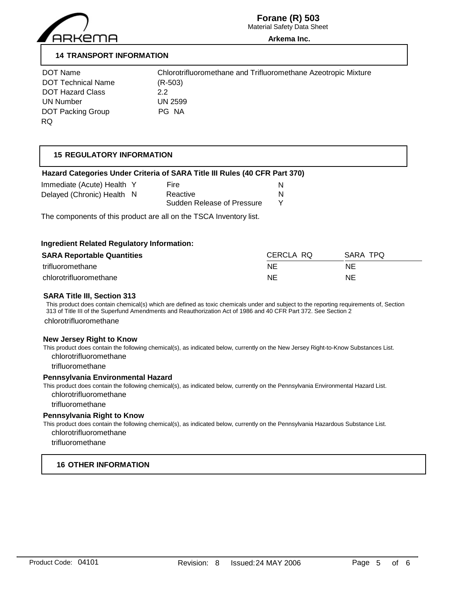

# **Forane (R) 503**

Material Safety Data Sheet

#### **Arkema Inc.**

# **14 TRANSPORT INFORMATION**

| DOT Name                  | Chlorotr  |
|---------------------------|-----------|
| <b>DOT Technical Name</b> | $(R-503)$ |
| <b>DOT Hazard Class</b>   | 22        |
| UN Number                 | UN 2599   |
| <b>DOT Packing Group</b>  | PG NA     |
| RQ.                       |           |

Chlorotrifluoromethane and Trifluoromethane Azeotropic Mixture  $(R-503)$ UN 2599

# **15 REGULATORY INFORMATION**

# **Hazard Categories Under Criteria of SARA Title III Rules (40 CFR Part 370)**

| Immediate (Acute) Health Y | <b>Fire</b>                |  |
|----------------------------|----------------------------|--|
| Delayed (Chronic) Health N | Reactive                   |  |
|                            | Sudden Release of Pressure |  |

The components of this product are all on the TSCA Inventory list.

## **Ingredient Related Regulatory Information:**

| <b>SARA Reportable Quantities</b> | CERCLA RQ | SARA TPO |
|-----------------------------------|-----------|----------|
| trifluoromethane                  | ΝE        | NE       |
| chlorotrifluoromethane            | ΝE        | NE       |

## **SARA Title III, Section 313**

This product does contain chemical(s) which are defined as toxic chemicals under and subject to the reporting requirements of, Section 313 of Title III of the Superfund Amendments and Reauthorization Act of 1986 and 40 CFR Part 372. See Section 2

chlorotrifluoromethane

#### **New Jersey Right to Know**

This product does contain the following chemical(s), as indicated below, currently on the New Jersey Right-to-Know Substances List. chlorotrifluoromethane

trifluoromethane

#### **Pennsylvania Environmental Hazard**

This product does contain the following chemical(s), as indicated below, currently on the Pennsylvania Environmental Hazard List. chlorotrifluoromethane

trifluoromethane

## **Pennsylvania Right to Know**

This product does contain the following chemical(s), as indicated below, currently on the Pennsylvania Hazardous Substance List. chlorotrifluoromethane

trifluoromethane

# **16 OTHER INFORMATION**